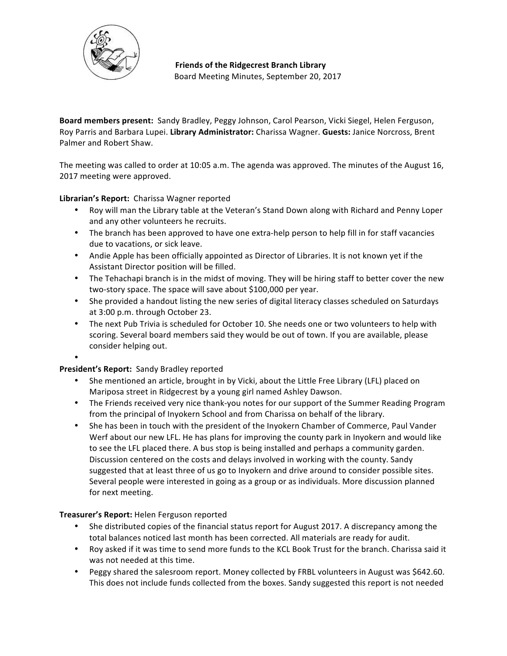

**Friends of the Ridgecrest Branch Library** Board Meeting Minutes, September 20, 2017

Board members present: Sandy Bradley, Peggy Johnson, Carol Pearson, Vicki Siegel, Helen Ferguson, Roy Parris and Barbara Lupei. Library Administrator: Charissa Wagner. Guests: Janice Norcross, Brent Palmer and Robert Shaw.

The meeting was called to order at 10:05 a.m. The agenda was approved. The minutes of the August 16, 2017 meeting were approved.

Librarian's Report: Charissa Wagner reported

- Roy will man the Library table at the Veteran's Stand Down along with Richard and Penny Loper and any other volunteers he recruits.
- The branch has been approved to have one extra-help person to help fill in for staff vacancies due to vacations, or sick leave.
- Andie Apple has been officially appointed as Director of Libraries. It is not known yet if the Assistant Director position will be filled.
- The Tehachapi branch is in the midst of moving. They will be hiring staff to better cover the new two-story space. The space will save about \$100,000 per year.
- She provided a handout listing the new series of digital literacy classes scheduled on Saturdays at 3:00 p.m. through October 23.
- The next Pub Trivia is scheduled for October 10. She needs one or two volunteers to help with scoring. Several board members said they would be out of town. If you are available, please consider helping out.

•

# President's Report: Sandy Bradley reported

- She mentioned an article, brought in by Vicki, about the Little Free Library (LFL) placed on Mariposa street in Ridgecrest by a young girl named Ashley Dawson.
- The Friends received very nice thank-you notes for our support of the Summer Reading Program from the principal of Inyokern School and from Charissa on behalf of the library.
- She has been in touch with the president of the Inyokern Chamber of Commerce, Paul Vander Werf about our new LFL. He has plans for improving the county park in Inyokern and would like to see the LFL placed there. A bus stop is being installed and perhaps a community garden. Discussion centered on the costs and delays involved in working with the county. Sandy suggested that at least three of us go to Inyokern and drive around to consider possible sites. Several people were interested in going as a group or as individuals. More discussion planned for next meeting.

# Treasurer's Report: Helen Ferguson reported

- She distributed copies of the financial status report for August 2017. A discrepancy among the total balances noticed last month has been corrected. All materials are ready for audit.
- Roy asked if it was time to send more funds to the KCL Book Trust for the branch. Charissa said it was not needed at this time.
- Peggy shared the salesroom report. Money collected by FRBL volunteers in August was \$642.60. This does not include funds collected from the boxes. Sandy suggested this report is not needed